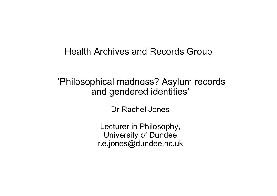#### Health Archives and Records Group

#### 'Philosophical madness? Asylum records and gendered identities'

Dr Rachel Jones

Lecturer in Philosophy, University of Dundee r.e.jones@dundee.ac.uk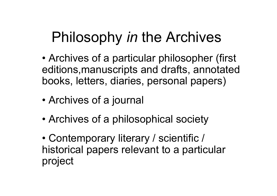# Philosophy *in* the Archives

- • Archives of a particular philosopher (first editions,manuscripts and drafts, annotated books, letters, diaries, personal papers)
- •Archives of a journal
- •Archives of a philosophical society
- • Contemporary literary / scientific / historical papers relevant to a particular project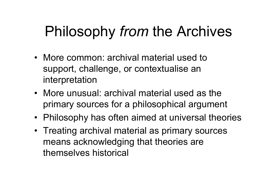# Philosophy *from* the Archives

- More common: archival material used to support, challenge, or contextualise an interpretation
- More unusual: archival material used as the primary sources for a philosophical argument
- Philosophy has often aimed at universal theories
- Treating archival material as primary sources means acknowledging that theories are themselves historical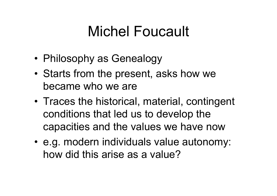# Michel Foucault

- •Philosophy as Genealogy
- • Starts from the present, asks how we became who we are
- Traces the historical, material, contingent conditions that led us to develop the capacities and the values we have now
- e.g. modern individuals value autonomy: how did this arise as a value?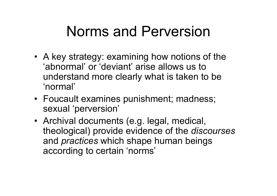# Norms and Perversion

- A key strategy: examining how notions of the 'abnormal' or 'deviant' arise allows us to understand more clearly what is taken to be 'normal'
- Foucault examines punishment; madness; sexual 'perversion'
- Archival documents (e.g. legal, medical, theological) provide evidence of the *discourses* and *practices* which shape human beings according to certain 'norms'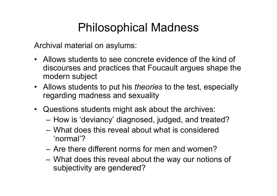### Philosophical Madness

Archival material on asylums:

- Allows students to see concrete evidence of the kind of discourses and practices that Foucault argues shape the modern subject
- Allows students to put his *theories* to the test, especially regarding madness and sexuality
- Questions students might ask about the archives:
	- How is 'deviancy' diagnosed, judged, and treated?
	- What does this reveal about what is considered 'normal'?
	- Are there different norms for men and women?
	- – What does this reveal about the way our notions of subjectivity are gendered?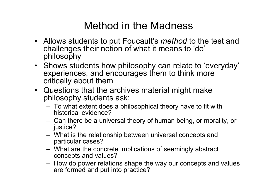### Method in the Madness

- Allows students to put Foucault's *method* to the test and challenges their notion of what it means to 'do' philosophy
- Shows students how philosophy can relate to 'everyday' experiences, and encourages them to think more critically about them
- Questions that the archives material might make philosophy students ask:
	- To what extent does a philosophical theory have to fit with historical evidence?
	- Can there be a universal theory of human being, or morality, or justice?
	- What is the relationship between universal concepts and particular cases?
	- What are the concrete implications of seemingly abstract concepts and values?
	- How do power relations shape the way our concepts and values are formed and put into practice?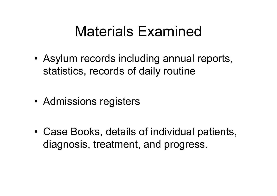## Materials Examined

• Asylum records including annual reports, statistics, records of daily routine

• Admissions registers

• Case Books, details of individual patients, diagnosis, treatment, and progress.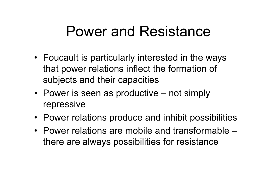## Power and Resistance

- Foucault is particularly interested in the ways that power relations inflect the formation of subjects and their capacities
- Power is seen as productive not simply repressive
- Power relations produce and inhibit possibilities
- Power relations are mobile and transformable –there are always possibilities for resistance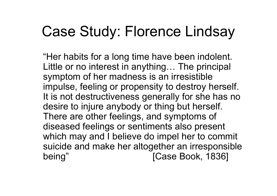# Case Study: Florence Lindsay

"Her habits for a long time have been indolent. Little or no interest in anything… The principal symptom of her madness is an irresistible impulse, feeling or propensity to destroy herself. It is not destructiveness generally for she has no desire to injure anybody or thing but herself. There are other feelings, and symptoms of diseased feelings or sentiments also present which may and I believe do impel her to commit suicide and make her altogether an irresponsible being" [Case Book, 1836]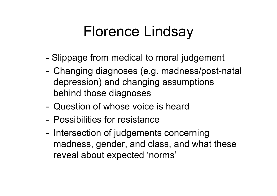# Florence Lindsay

- -Slippage from medical to moral judgement
- - Changing diagnoses (e.g. madness/post-natal depression) and changing assumptions behind those diagnoses
- Question of whose voice is heard
- Possibilities for resistance
- - Intersection of judgements concerning madness, gender, and class, and what these reveal about expected 'norms'